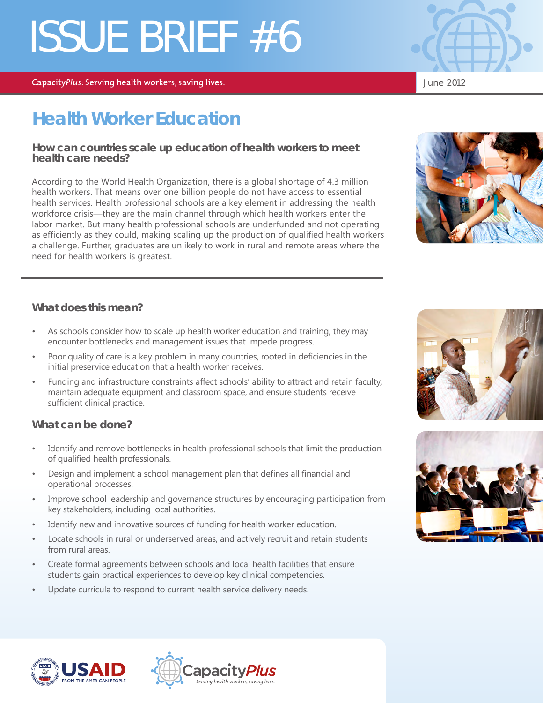# ISSUE BRIEF #6

CapacityPlus: Serving health workers, saving lives.

## **Health Worker Education**

#### **How can countries scale up education of health workers to meet health care needs?**

According to the World Health Organization, there is a global shortage of 4.3 million health workers. That means over one billion people do not have access to essential health services. Health professional schools are a key element in addressing the health workforce crisis—they are the main channel through which health workers enter the labor market. But many health professional schools are underfunded and not operating as efficiently as they could, making scaling up the production of qualified health workers a challenge. Further, graduates are unlikely to work in rural and remote areas where the need for health workers is greatest.

#### **What does this mean?**

- As schools consider how to scale up health worker education and training, they may encounter bottlenecks and management issues that impede progress.
- Poor quality of care is a key problem in many countries, rooted in deficiencies in the initial preservice education that a health worker receives.
- Funding and infrastructure constraints affect schools' ability to attract and retain faculty, maintain adequate equipment and classroom space, and ensure students receive sufficient clinical practice.

### **What can be done?**

- Identify and remove bottlenecks in health professional schools that limit the production of qualified health professionals.
- Design and implement a school management plan that defines all financial and operational processes.
- Improve school leadership and governance structures by encouraging participation from key stakeholders, including local authorities.
- Identify new and innovative sources of funding for health worker education.
- Locate schools in rural or underserved areas, and actively recruit and retain students from rural areas.
- Create formal agreements between schools and local health facilities that ensure students gain practical experiences to develop key clinical competencies.
- Update curricula to respond to current health service delivery needs.